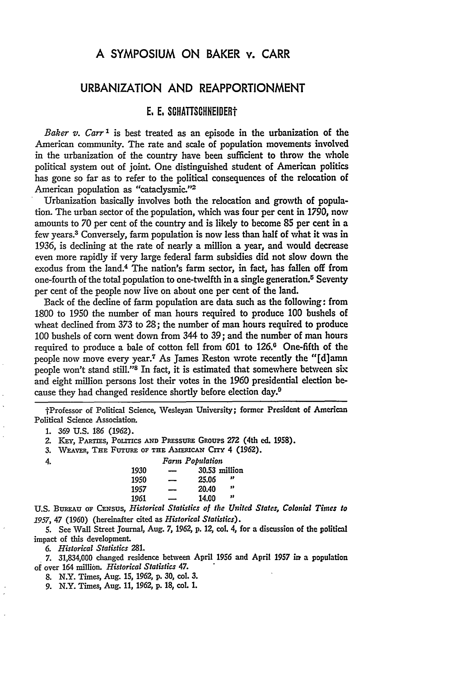## **A SYMPOSIUM ON** BAKER v. CARR

## **URBANIZATION AND** REAPPORTIONMENT

## **E, E,** SCHATTSCHNEIDERt

Baker v. *Carr 1* is best treated as an episode in the urbanization of the American community. The rate and scale of population movements involved in the urbanization of the country have been sufficient to throw the whole political system out of joint. One distinguished student of American politics has gone so far as to refer to the political consequences of the relocation of American population as "cataclysmic."<sup>2</sup>

Urbanization basically involves both the relocation and growth of population. The urban sector of the population, which was four per cent in 1790, now amounts to 70 per cent of the country and is likely to become **85** per cent in a few years.3 Conversely, farm population is now less than half of what it was in 1936, is declining at the rate of nearly a million a year, and would decrease even more rapidly if very large federal farm subsidies did not slow down the exodus from the land.<sup>4</sup> The nation's farm sector, in fact, has fallen off from one-fourth of the total population to one-twelfth in a single generation.<sup>5</sup> Seventy per cent of the people now live on about one per cent of the land.

Back of the decline of farm population are data such as the following: from 1800 to 1950 the number of man hours required to produce 100 bushels of wheat declined from **373** to 28; the number of man hours required to produce 100 bushels of corn went down from 344 to **39;** and the number of man hours required to produce a bale of cotton fell from 601 to **126.0** One-fifth of the people now move every year.<sup>7</sup> As James Reston wrote recently the "[d]amn people won't stand still."<sup>8</sup> In fact, it is estimated that somewhere between six and eight million persons lost their votes in the 1960 presidential election because they had changed residence shortly before election day.0

<sup>†</sup>Professor of Political Science, Wesleyan University; former President of American Political Science Association.

**1.** 369 U.S. 186 (1962).

2. KEY, PARTIEs, POLITICS **AND** PREssuRE GRouPs **272** (4th ed. 1958).

**3. WEAVER, THE** FuTuRE **OF THE** AMERcAN Crry 4 **(1962).**

| 4. | <b>Farm Population</b> |    |               |  |
|----|------------------------|----|---------------|--|
|    | 1930                   |    | 30.53 million |  |
|    | 1950                   | –  | "<br>25.06    |  |
|    | 1957                   | -- | "<br>20.40    |  |
|    | 1961                   | -  | "<br>14.00    |  |

U.S. BuREAu OF CENsus, *Historical Statistics of the United States, Colonial Times to 1957, 47* (1960) (hereinafter cited as *Historical Statistics).*

**5.** See Wall Street Journal, Aug. 7, **1962, p.** 12, col. 4, for a discussion of the political impact of this development.

*6. Historical Statistics 281.*

7. 31,834,000 changed residence between April 1956 and April 1957 ir a population **of** over 164 million. *Historical Statistics 47.*

8. N.Y. Times, Aug. 15, 1962, **p. 30,** col. **3.**

9. N.Y. Times, Aug. **11,** 1962, **p. 18,** col 1.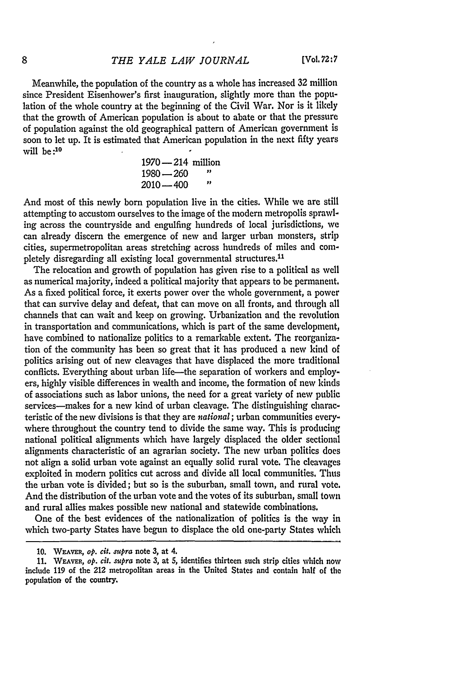Meanwhile, the population of the country as a whole has increased 32 million since President Eisenhower's first inauguration, slightly more than the population of the whole country at the beginning of the Civil War. Nor is it likely that the growth of American population is about to abate or that the pressure of population against the old geographical pattern of American government is soon to let up. It is estimated that American population in the next fifty years will be:10

$$
1970 - 214 \text{ million} 1980 - 260 \qquad \text{''} 2010 - 400 \qquad \text{''}
$$

And most of this newly born population live in the cities. While we are still attempting to accustom ourselves to the image of the modern metropolis sprawling across the countryside and engulfing hundreds of local jurisdictions, we can already discern the emergence of new and larger urban monsters, strip cities, supermetropolitan areas stretching across hundreds of miles and completely disregarding all existing local governmental structures.<sup>11</sup>

The relocation and growth of population has given rise to a political as well as numerical majority, indeed a political majority that appears to be permanent. As a fixed political force, it exerts power over the whole government, a power that can survive delay and defeat, that can move on all fronts, and through all channels that can wait and keep on growing. Urbanization and the revolution in transportation and communications, which is part of the same development, have combined to nationalize politics to a remarkable extent. The reorganization of the community has been so great that it has produced a new kind of politics arising out of new cleavages that have displaced the more traditional conflicts. Everything about urban life-the separation of workers and employers, highly visible differences in wealth and income, the formation of new kinds of associations such as labor unions, the need for a great variety of new public services--makes for a new kind of urban cleavage. The distinguishing characteristic of the new divisions is that they are *national;* urban communities everywhere throughout the country tend to divide the same way. This is producing national political alignments which have largely displaced the older sectional alignments characteristic of an agrarian society. The new urban politics does not align a solid urban vote against an equally solid rural vote. The cleavages exploited in modern politics cut across and divide all local communities. Thus the urban vote is divided; but so is the suburban, small town, and rural vote. And the distribution of the urban vote and the votes of its suburban, small town and rural allies makes possible new national and statewide combinations.

One of the best evidences of the nationalization of politics is the way in which two-party States have begun to displace the old one-party States which

**<sup>10.</sup> WEAvER,** *op. cit. mpra* note **3,** at 4.

**<sup>11.</sup>** WEAVER, *op. cit. supra* note 3, at 5, identifies thirteen such strip cities which now include 119 of the 212 metropolitan areas in the United States and contain half of the population of the country.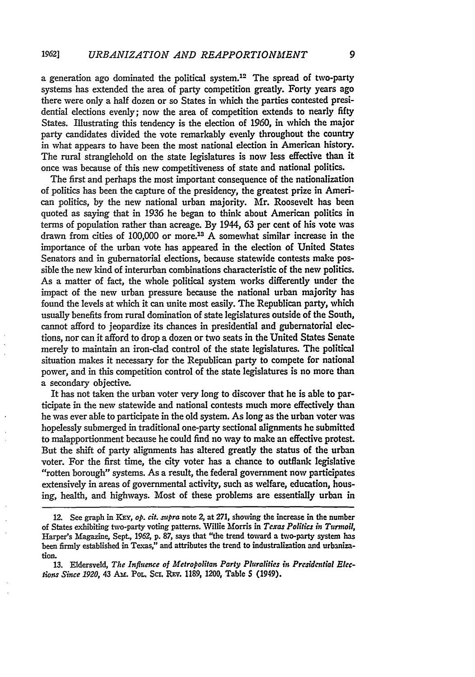a generation ago dominated the political system.12 The spread of two-party systems has extended the area of party competition greatly. Forty years ago there were only a half dozen or so States in which the parties contested presidential elections evenly; now the area of competition extends to nearly fifty States. Illustrating this tendency is the election of 1960, in which the major party candidates divided the vote remarkably evenly throughout the country in what appears to have been the most national election in American history. The rural stranglehold on the state legislatures is now less effective than it once was because of this new competitiveness of state and national politics.

The first and perhaps the most important consequence of the nationalization of politics has been the capture of the presidency, the greatest prize in American politics, by the new national urban majority. Mr. Roosevelt has been quoted as saying that in 1936 he began to think about American politics in terms of population rather than acreage. By 1944, 63 per cent of his vote was drawn from cities of 100,000 or more.13 A somewhat similar increase in the importance of the urban vote has appeared in the election of United States Senators and in gubernatorial elections, because statewide contests make possible the new kind of interurban combinations characteristic of the new politics. As a matter of fact, the whole political system works differently under the impact of the new urban pressure because the national urban majority has found the levels at which it can unite most easily. The Republican party, which usually benefits from rural domination of state legislatures outside of the South, cannot afford to jeopardize its chances in presidential and gubernatorial elections, nor can it afford to drop a dozen or two seats in the United States Senate merely to maintain an iron-clad control of the state legislatures. The political situation makes it necessary for the Republican party to compete for national power, and in this competition control of the state legislatures is no more than a secondary objective.

It has not taken the urban voter very long to discover that he is able to participate in the new statewide and national contests much more effectively than he was ever able to participate in the old system. As long as the urban voter was hopelessly submerged in traditional one-party sectional alignments he submitted to malapportionment because he could find no way to make an effective protest. But the shift of party alignments has altered greatly the status of the urban voter. For the first time, the city voter has a chance to outflank legislative "rotten borough" systems. As a result, the federal government now participates extensively in areas of governmental activity, such as welfare, education, housing, health, and highways. Most of these problems are essentially urban in

**13.** Eldersveld, *The Influence of Metropolitan Party Pluralities in Presidential Elections Since 1920,* 43 **Am.** POL. Sci. **REv. 1189,** 1200, Table **5** (1949).

<sup>12.</sup> See graph in **KEY,** *op. cit. s'pra* note *2,* at *271,* shoving the increase in the number of States exhibiting two-party voting patterns. Willie Morris in *Texas Politics in Turmoil,* Harper's Magazine, Sept., 1962, p. **87,** says that "the trend toward a two-party system has been firmly established in Texas," and attributes the trend to industralization and urbanization.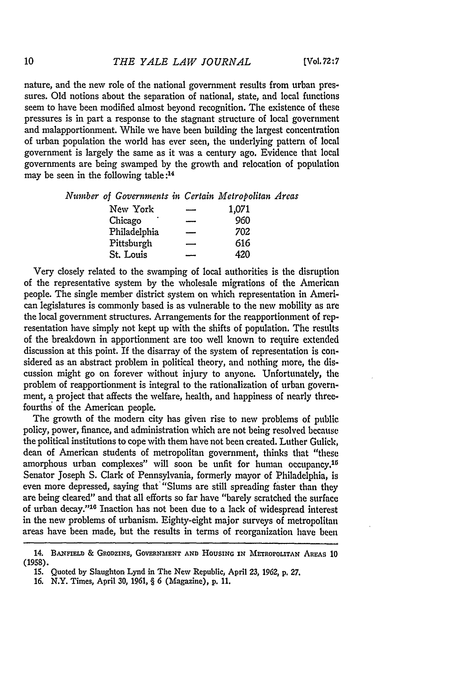nature, and the new role of the national government results from urban pressures. Old notions about the separation of national, state, and local functions seem to have been modified almost beyond recognition. The existence of these pressures is in part a response to the stagnant structure of local government and malapportionment. While we have been building the largest concentration of urban population the world has ever seen, the underlying pattern of local government is largely the same as it was a century ago. Evidence that local governments are being swamped by the growth and relocation of population may be seen in the following table **:14**

| Number of Governments in Certain Metropolitan Areas |  |  |  |  |  |  |  |
|-----------------------------------------------------|--|--|--|--|--|--|--|
|-----------------------------------------------------|--|--|--|--|--|--|--|

| New York     | __ | 1,071 |
|--------------|----|-------|
| Chicago      |    | 960   |
| Philadelphia | -- | 702   |
| Pittsburgh   | _  | 616   |
| St. Louis    | -- | 420   |
|              |    |       |

Very closely related to the swamping of local authorities is the disruption of the representative system by the wholesale migrations of the American people. The single member district system on which representation in American legislatures is commonly based is as vulnerable to the new mobility as are the local government structures. Arrangements for the reapportionment of representation have simply not kept up with the shifts of population. The results of the breakdown in apportionment are too well known to require extended discussion at this point. If the disarray of the system of representation is considered as an abstract problem in political theory, and nothing more, the discussion might go on forever without injury to anyone. Unfortunately, the problem of reapportionment is integral to the rationalization of urban government, a project that affects the welfare, health, and happiness of nearly threefourths of the American people.

The growth of the modern city has given rise to new problems of public policy, power, finance, and administration which are not being resolved because the political institutions to cope with them have not been created. Luther Gulick, dean of American students of metropolitan government, thinks that "these amorphous urban complexes" will soon be unfit for human occupancy.<sup>16</sup> Senator Joseph S. Clark of Pennsylvania, formerly mayor of Philadelphia, is even more depressed, saying that "Slums are still spreading faster than they are being cleared" and that all efforts so far have "barely scratched the surface of urban decay."'16 Inaction has not been due to a lack of widespread interest in the new problems of urbanism. Eighty-eight major surveys of metropolitan areas have been made, but the results in terms of reorganization have been

<sup>14.</sup> BANFIELD & GRODZINS, GOVERNMENT AND HOUSING IN METROPOLITAN AREAS 10 (1958).

<sup>15.</sup> Quoted by Slaughton Lynd in The New Republic, April 23, 1962, **p.** 27.

<sup>16.</sup> N.Y. Times, April **30,** 1961, *§* 6 (Magazine), **p.** 11.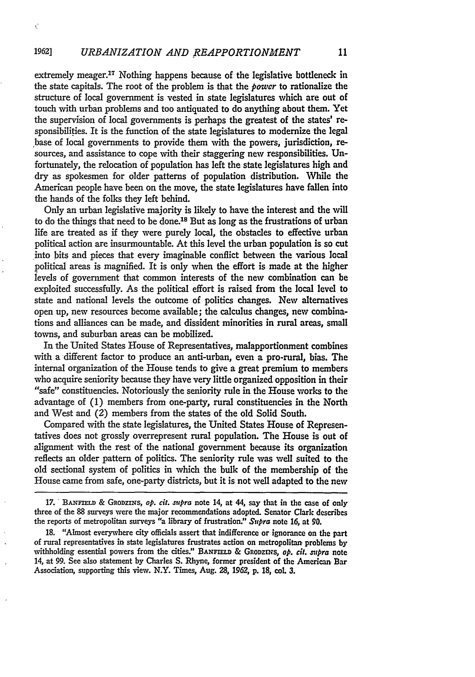$\zeta$ 

extremely meager.<sup>17</sup> Nothing happens because of the legislative bottleneck in the state capitals. The root of the problem is that the power to rationalize the structure of local government is vested in state legislatures which are out of touch with urban problems and too antiquated to do anything about them. Yet the supervision of local governments is perhaps the greatest of the states' responsibilities. It is the function of the state legislatures to modernize the legal ,base of local governments to provide them with the powers, jurisdiction, resources, and assistance to cope with their staggering new responsibilities. **Un**fortunately, the relocation of population has left the state legislatures high and dry as spokesmen for older patterns of population distribution. While the American people have been on the move, the state legislatures have fallen into the hands of the folks they left behind.

Only an urban legislative majority is likely to have the interest and the will to do the things that need to be done.<sup>18</sup> But as long as the frustrations of urban life are treated as if they were purely local, the obstacles to effective urban political action are insurmountable. At this level the urban population is so cut into bits and pieces that every imaginable conflict between the various local political areas is magnified. It is only when the effort is made at the higher levels of government that common interests of the new combination can be exploited successfully. As the political effort is raised from the local level to state and national levels the outcome of politics changes. New alternatives open up, new resources become available; the calculus changes, new combinations and alliances can be made, and dissident minorities in rural areas, small towns, and suburban areas can be mobilized.

In the United States House of Representatives, malapportionment combines with a different factor to produce an anti-urban, even a pro-rural, bias. The internal organization of the House tends to give a great premium to members who acquire seniority because they have very little organized opposition in their "safe" constituencies. Notoriously the seniority rule in the House works to the advantage of (1) members from one-party, rural constituencies in the North and West and (2) members from the states of the old Solid South.

Compared with the state legislatures, the United States House of Representatives does not grossly overrepresent rural population. The House is out of alignment with the rest of the national government because its organization reflects an older pattern of politics. The seniority rule was well suited to the old sectional system of politics in which the bulk of the membership of the House came from safe, one-party districts, but it is not well adapted to the new

<sup>17.</sup> BANFIELD & GRODZINS, op. cit. supra note 14, at 44, say that in the case of only three of the **88** surveys were the major recommendations adopted. Senator Clark describes the reports of metropolitan surveys "a library of frustration." *Supra* note **16,** at **90.**

**<sup>18.</sup>** "Almost everywhere city officials assert that indifference or ignorance on the part of rural representatives in state legislatures frustrates action on metropolitan problems **by** withholding essential powers from the cities." BANFIELD & GRODZINS, op. cit. supra note **14,** at **99.** See also statement **by** Charles **S.** Rhyne, former president of the American Bar Association, supporting this view. N.Y. Times, Aug. **28, 1962, p. 18,** col. *3.*